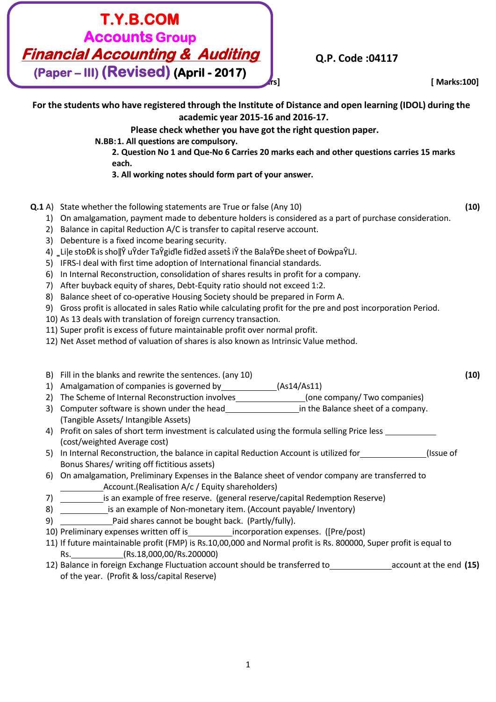# **T.Y.B.COM Accounts Group Financial Accounting & Auditing (Paper – III) (Revised) (April - 2017)**

# **Q.P. Code :04117**

**[Time: Three Hours] [ Marks:100]**

**For the students who have registered through the Institute of Distance and open learning (IDOL) during the academic year 2015-16 and 2016-17. Please check whether you have got the right question paper. N.BB:1. All questions are compulsory. 2. Question No 1 and Que-No 6 Carries 20 marks each and other questions carries 15 marks each. 3. All working notes should form part of your answer. Q.1** A) State whether the following statements are True or false (Any 10) **(10)** 1) On amalgamation, payment made to debenture holders is considered as a part of purchase consideration. 2) Balance in capital Reduction A/C is transfer to capital reserve account. 3) Debenture is a fixed income bearing security. 4) Lile stoĐk is sho $\|\hat{Y}$  uŶder TaŶgiďle fidžed assets iŶ the BalaŶĐe sheet of ĐoŵpaŶLJ. 5) IFRS-I deal with first time adoption of International financial standards. 6) In Internal Reconstruction, consolidation of shares results in profit for a company. 7) After buyback equity of shares, Debt-Equity ratio should not exceed 1:2. 8) Balance sheet of co-operative Housing Society should be prepared in Form A. 9) Gross profit is allocated in sales Ratio while calculating profit for the pre and post incorporation Period. 10) As 13 deals with translation of foreign currency transaction. 11) Super profit is excess of future maintainable profit over normal profit. 12) Net Asset method of valuation of shares is also known as Intrinsic Value method. B) Fill in the blanks and rewrite the sentences. (any 10) **(10)** 1) Amalgamation of companies is governed by (As14/As11) 2) The Scheme of Internal Reconstruction involves (one company/ Two companies) 3) Computer software is shown under the head in the Balance sheet of a company. (Tangible Assets/ Intangible Assets) 4) Profit on sales of short term investment is calculated using the formula selling Price less (cost/weighted Average cost) 5) In Internal Reconstruction, the balance in capital Reduction Account is utilized for (Issue of Bonus Shares/ writing off fictitious assets) 6) On amalgamation, Preliminary Expenses in the Balance sheet of vendor company are transferred to Account.(Realisation A/c / Equity shareholders) 7) is an example of free reserve. (general reserve/capital Redemption Reserve) 8) **incording interest an example of Non-monetary item.** (Account payable/ Inventory) 9) Paid shares cannot be bought back. (Partly/fully).

- 10) Preliminary expenses written off is incorporation expenses. ([Pre/post)
- 11) If future maintainable profit (FMP) is Rs.10,00,000 and Normal profit is Rs. 800000, Super profit is equal to Rs. (Rs.18,000,00/Rs.200000)
- 12) Balance in foreign Exchange Fluctuation account should be transferred to<br>
account at the end (15) of the year. (Profit & loss/capital Reserve)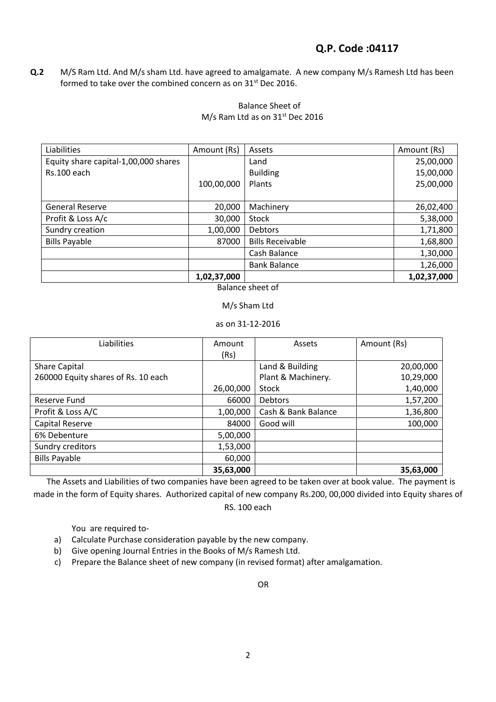# **Q.P. Code :04117**

**Q.2** M/S Ram Ltd. And M/s sham Ltd. have agreed to amalgamate. A new company M/s Ramesh Ltd has been formed to take over the combined concern as on 31<sup>st</sup> Dec 2016.

### Balance Sheet of M/s Ram Ltd as on 31<sup>st</sup> Dec 2016

| Liabilities                          | Amount (Rs) | Assets                  | Amount (Rs) |
|--------------------------------------|-------------|-------------------------|-------------|
| Equity share capital-1,00,000 shares |             | Land                    | 25,00,000   |
| Rs.100 each                          |             | <b>Building</b>         | 15,00,000   |
|                                      | 100,00,000  | Plants                  | 25,00,000   |
|                                      |             |                         |             |
| <b>General Reserve</b>               | 20,000      | Machinery               | 26,02,400   |
| Profit & Loss A/c                    | 30,000      | <b>Stock</b>            | 5,38,000    |
| Sundry creation                      | 1,00,000    | <b>Debtors</b>          | 1,71,800    |
| <b>Bills Payable</b>                 | 87000       | <b>Bills Receivable</b> | 1,68,800    |
|                                      |             | Cash Balance            | 1,30,000    |
|                                      |             | <b>Bank Balance</b>     | 1,26,000    |
|                                      | 1,02,37,000 |                         | 1,02,37,000 |

Balance sheet of

#### M/s Sham Ltd

as on 31-12-2016

| Liabilities                         | Amount    | Assets              | Amount (Rs) |
|-------------------------------------|-----------|---------------------|-------------|
|                                     | (Rs)      |                     |             |
| <b>Share Capital</b>                |           | Land & Building     | 20,00,000   |
| 260000 Equity shares of Rs. 10 each |           | Plant & Machinery.  | 10,29,000   |
|                                     | 26,00,000 | <b>Stock</b>        | 1,40,000    |
| Reserve Fund                        | 66000     | <b>Debtors</b>      | 1,57,200    |
| Profit & Loss A/C                   | 1,00,000  | Cash & Bank Balance | 1,36,800    |
| Capital Reserve                     | 84000     | Good will           | 100,000     |
| 6% Debenture                        | 5,00,000  |                     |             |
| Sundry creditors                    | 1,53,000  |                     |             |
| <b>Bills Payable</b>                | 60,000    |                     |             |
|                                     | 35,63,000 |                     | 35,63,000   |

 The Assets and Liabilities of two companies have been agreed to be taken over at book value. The payment is made in the form of Equity shares. Authorized capital of new company Rs.200, 00,000 divided into Equity shares of RS. 100 each

You are required to-

- a) Calculate Purchase consideration payable by the new company.
- b) Give opening Journal Entries in the Books of M/s Ramesh Ltd.
- c) Prepare the Balance sheet of new company (in revised format) after amalgamation.

OR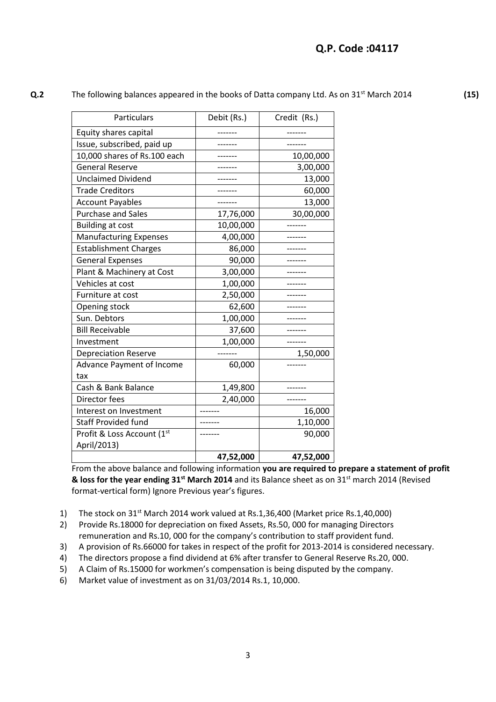**(15)** 

**Q.2** The following balances appeared in the books of Datta company Ltd. As on 31<sup>st</sup> March 2014

| Particulars                   | Debit (Rs.) | Credit (Rs.) |
|-------------------------------|-------------|--------------|
| Equity shares capital         |             |              |
| Issue, subscribed, paid up    |             | -------      |
| 10,000 shares of Rs.100 each  |             | 10,00,000    |
| <b>General Reserve</b>        |             | 3,00,000     |
| <b>Unclaimed Dividend</b>     |             | 13,000       |
| <b>Trade Creditors</b>        |             | 60,000       |
| <b>Account Payables</b>       |             | 13,000       |
| <b>Purchase and Sales</b>     | 17,76,000   | 30,00,000    |
| <b>Building at cost</b>       | 10,00,000   |              |
| <b>Manufacturing Expenses</b> | 4,00,000    |              |
| <b>Establishment Charges</b>  | 86,000      |              |
| <b>General Expenses</b>       | 90,000      |              |
| Plant & Machinery at Cost     | 3,00,000    |              |
| Vehicles at cost              | 1,00,000    |              |
| Furniture at cost             | 2,50,000    |              |
| Opening stock                 | 62,600      |              |
| Sun. Debtors                  | 1,00,000    |              |
| <b>Bill Receivable</b>        | 37,600      |              |
| Investment                    | 1,00,000    |              |
| <b>Depreciation Reserve</b>   |             | 1,50,000     |
| Advance Payment of Income     | 60,000      |              |
| tax                           |             |              |
| Cash & Bank Balance           | 1,49,800    |              |
| Director fees                 | 2,40,000    |              |
| Interest on Investment        |             | 16,000       |
| <b>Staff Provided fund</b>    |             | 1,10,000     |
| Profit & Loss Account (1st    |             | 90,000       |
| April/2013)                   |             |              |
|                               | 47,52,000   | 47,52,000    |

From the above balance and following information **you are required to prepare a statement of profit & loss for the year ending 31st March 2014** and its Balance sheet as on 31st march 2014 (Revised format-vertical form) Ignore Previous year's figures.

1) The stock on  $31<sup>st</sup>$  March 2014 work valued at Rs.1,36,400 (Market price Rs.1,40,000)

2) Provide Rs.18000 for depreciation on fixed Assets, Rs.50, 000 for managing Directors remuneration and Rs.10, 000 for the company's contribution to staff provident fund.

- 3) A provision of Rs.66000 for takes in respect of the profit for 2013-2014 is considered necessary.
- 4) The directors propose a find dividend at 6% after transfer to General Reserve Rs.20, 000.
- 5) A Claim of Rs.15000 for workmen's compensation is being disputed by the company.
- 6) Market value of investment as on 31/03/2014 Rs.1, 10,000.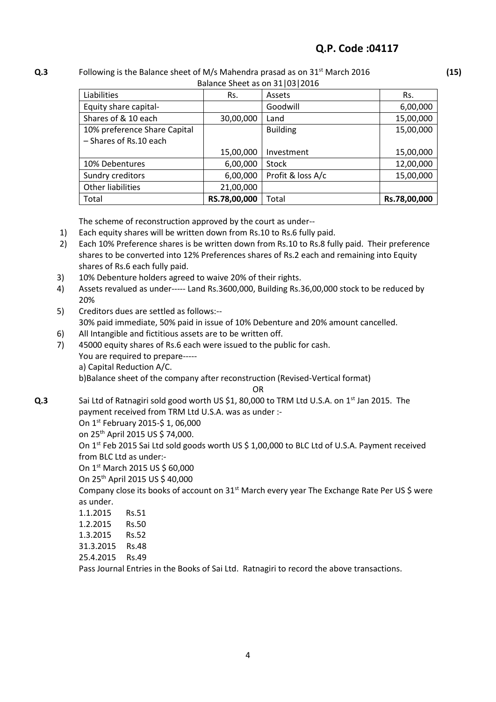#### **Q.3** Following is the Balance sheet of M/s Mahendra prasad as on 31st March 2016 **(15)**  Balance Sheet as on 31|03|2016

| <b>Dalafice STIEEL as OIT STIPS 2010</b> |              |                   |              |  |  |  |
|------------------------------------------|--------------|-------------------|--------------|--|--|--|
| Liabilities                              | Rs.          | Assets            | Rs.          |  |  |  |
| Equity share capital-                    |              | Goodwill          | 6,00,000     |  |  |  |
| Shares of & 10 each                      | 30,00,000    | Land              | 15,00,000    |  |  |  |
| 10% preference Share Capital             |              | <b>Building</b>   | 15,00,000    |  |  |  |
| - Shares of Rs.10 each                   |              |                   |              |  |  |  |
|                                          | 15,00,000    | Investment        | 15,00,000    |  |  |  |
| 10% Debentures                           | 6,00,000     | <b>Stock</b>      | 12,00,000    |  |  |  |
| Sundry creditors                         | 6,00,000     | Profit & loss A/c | 15,00,000    |  |  |  |
| Other liabilities                        | 21,00,000    |                   |              |  |  |  |
| Total                                    | RS.78,00,000 | Total             | Rs.78,00,000 |  |  |  |

The scheme of reconstruction approved by the court as under--

- 1) Each equity shares will be written down from Rs.10 to Rs.6 fully paid.
- 2) Each 10% Preference shares is be written down from Rs.10 to Rs.8 fully paid. Their preference shares to be converted into 12% Preferences shares of Rs.2 each and remaining into Equity shares of Rs.6 each fully paid.
- 3) 10% Debenture holders agreed to waive 20% of their rights.
- 4) Assets revalued as under----- Land Rs.3600,000, Building Rs.36,00,000 stock to be reduced by 20%
- 5) Creditors dues are settled as follows:-- 30% paid immediate, 50% paid in issue of 10% Debenture and 20% amount cancelled.
- 6) All Intangible and fictitious assets are to be written off.
- 7) 45000 equity shares of Rs.6 each were issued to the public for cash.
	- You are required to prepare----
		- a) Capital Reduction A/C.

b)Balance sheet of the company after reconstruction (Revised-Vertical format)

OR

**Q.3** Sai Ltd of Ratnagiri sold good worth US \$1, 80,000 to TRM Ltd U.S.A. on 1<sup>st</sup> Jan 2015. The payment received from TRM Ltd U.S.A. was as under :-

On 1st February 2015-\$ 1, 06,000

on 25th April 2015 US \$ 74,000.

On 1<sup>st</sup> Feb 2015 Sai Ltd sold goods worth US \$ 1,00,000 to BLC Ltd of U.S.A. Payment received from BLC Ltd as under:-

On 1st March 2015 US \$ 60,000

On 25th April 2015 US \$ 40,000

Company close its books of account on 31<sup>st</sup> March every year The Exchange Rate Per US \$ were as under.

| 1.1.2015 | <b>Rs.51</b> |
|----------|--------------|
|          |              |

- 1.2.2015 Rs.50
- 1.3.2015 Rs.52
- 31.3.2015 Rs.48
- 25.4.2015 Rs.49

Pass Journal Entries in the Books of Sai Ltd. Ratnagiri to record the above transactions.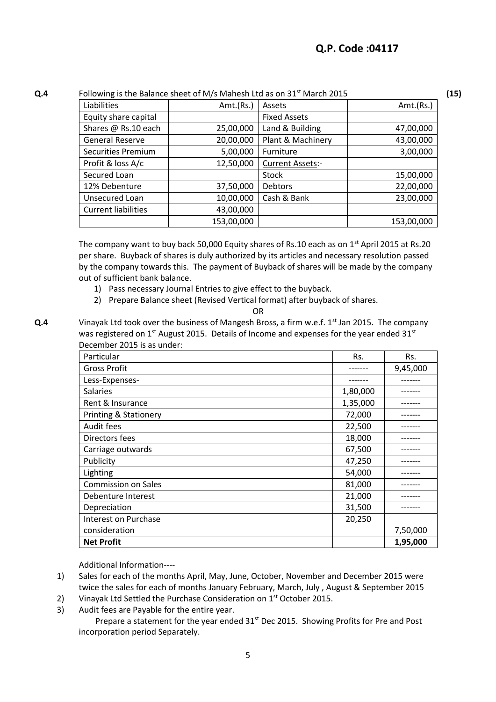#### **Q.4** Following is the Balance sheet of M/s Mahesh Ltd as on 31<sup>st</sup> March 2015

**(15)** 

| <b>ORDOWING</b> is the Dalance sheet of My3 Manesh Eta as On ST TMarch 2015 |            |                         |            |  |  |  |  |
|-----------------------------------------------------------------------------|------------|-------------------------|------------|--|--|--|--|
| Liabilities                                                                 | Amt.(Rs.)  | Assets                  | Amt.(Rs.)  |  |  |  |  |
| Equity share capital                                                        |            | <b>Fixed Assets</b>     |            |  |  |  |  |
| Shares @ Rs.10 each                                                         | 25,00,000  | Land & Building         | 47,00,000  |  |  |  |  |
| <b>General Reserve</b>                                                      | 20,00,000  | Plant & Machinery       | 43,00,000  |  |  |  |  |
| Securities Premium                                                          | 5,00,000   | Furniture               | 3,00,000   |  |  |  |  |
| Profit & loss A/c                                                           | 12,50,000  | <b>Current Assets:-</b> |            |  |  |  |  |
| Secured Loan                                                                |            | <b>Stock</b>            | 15,00,000  |  |  |  |  |
| 12% Debenture                                                               | 37,50,000  | <b>Debtors</b>          | 22,00,000  |  |  |  |  |
| Unsecured Loan                                                              | 10,00,000  | Cash & Bank             | 23,00,000  |  |  |  |  |
| <b>Current liabilities</b>                                                  | 43,00,000  |                         |            |  |  |  |  |
|                                                                             | 153,00,000 |                         | 153,00,000 |  |  |  |  |

The company want to buy back 50,000 Equity shares of Rs.10 each as on 1<sup>st</sup> April 2015 at Rs.20 per share. Buyback of shares is duly authorized by its articles and necessary resolution passed by the company towards this. The payment of Buyback of shares will be made by the company out of sufficient bank balance.

- 1) Pass necessary Journal Entries to give effect to the buyback.
- 2) Prepare Balance sheet (Revised Vertical format) after buyback of shares.

OR

**Q.4** Vinayak Ltd took over the business of Mangesh Bross, a firm w.e.f. 1<sup>st</sup> Jan 2015. The company was registered on  $1<sup>st</sup>$  August 2015. Details of Income and expenses for the year ended 31<sup>st</sup> December 2015 is as under:

| Particular                       | Rs.      | Rs.      |
|----------------------------------|----------|----------|
| <b>Gross Profit</b>              |          | 9,45,000 |
| Less-Expenses-                   |          |          |
| <b>Salaries</b>                  | 1,80,000 |          |
| Rent & Insurance                 | 1,35,000 |          |
| <b>Printing &amp; Stationery</b> | 72,000   |          |
| Audit fees                       | 22,500   |          |
| Directors fees                   | 18,000   |          |
| Carriage outwards                | 67,500   |          |
| Publicity                        | 47,250   |          |
| Lighting                         | 54,000   |          |
| <b>Commission on Sales</b>       | 81,000   |          |
| Debenture Interest               | 21,000   |          |
| Depreciation                     | 31,500   |          |
| Interest on Purchase             | 20,250   |          |
| consideration                    |          | 7,50,000 |
| <b>Net Profit</b>                |          | 1,95,000 |

Additional Information----

- 1) Sales for each of the months April, May, June, October, November and December 2015 were twice the sales for each of months January February, March, July , August & September 2015
- 2) Vinayak Ltd Settled the Purchase Consideration on 1<sup>st</sup> October 2015.
- 3) Audit fees are Payable for the entire year.

Prepare a statement for the year ended  $31<sup>st</sup>$  Dec 2015. Showing Profits for Pre and Post incorporation period Separately.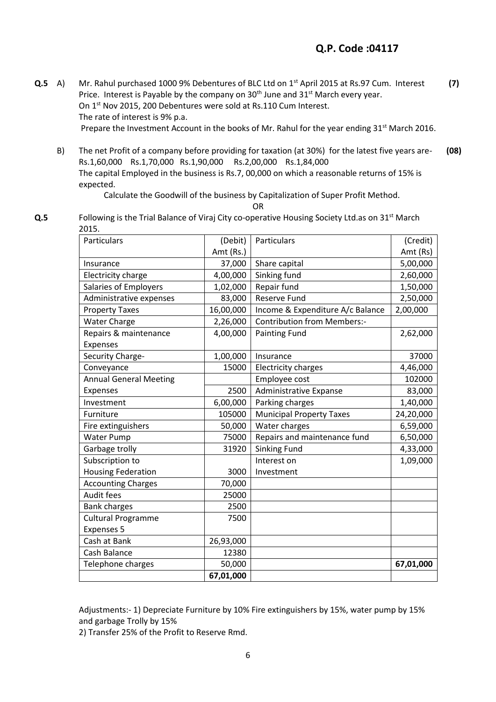**Q.5** A) Mr. Rahul purchased 1000 9% Debentures of BLC Ltd on 1st April 2015 at Rs.97 Cum. Interest Price. Interest is Payable by the company on 30<sup>th</sup> June and 31<sup>st</sup> March every year. On 1st Nov 2015, 200 Debentures were sold at Rs.110 Cum Interest. The rate of interest is 9% p.a. Prepare the Investment Account in the books of Mr. Rahul for the year ending  $31^{st}$  March 2016. **(7)**

B) The net Profit of a company before providing for taxation (at 30%) for the latest five years are-Rs.1,60,000 Rs.1,70,000 Rs.1,90,000 Rs.2,00,000 Rs.1,84,000 The capital Employed in the business is Rs.7, 00,000 on which a reasonable returns of 15% is expected. **(08)** 

### Calculate the Goodwill of the business by Capitalization of Super Profit Method.

OR

**Q.5** Following is the Trial Balance of Viraj City co-operative Housing Society Ltd.as on 31<sup>st</sup> March 2015.

| Particulars                   | (Debit)   | Particulars                        | (Credit)  |
|-------------------------------|-----------|------------------------------------|-----------|
|                               | Amt (Rs.) |                                    | Amt (Rs)  |
| Insurance                     | 37,000    | Share capital                      | 5,00,000  |
| Electricity charge            | 4,00,000  | Sinking fund                       | 2,60,000  |
| Salaries of Employers         | 1,02,000  | Repair fund                        | 1,50,000  |
| Administrative expenses       | 83,000    | <b>Reserve Fund</b>                | 2,50,000  |
| <b>Property Taxes</b>         | 16,00,000 | Income & Expenditure A/c Balance   | 2,00,000  |
| <b>Water Charge</b>           | 2,26,000  | <b>Contribution from Members:-</b> |           |
| Repairs & maintenance         | 4,00,000  | <b>Painting Fund</b>               | 2,62,000  |
| Expenses                      |           |                                    |           |
| Security Charge-              | 1,00,000  | Insurance                          | 37000     |
| Conveyance                    | 15000     | <b>Electricity charges</b>         | 4,46,000  |
| <b>Annual General Meeting</b> |           | Employee cost                      | 102000    |
| Expenses                      | 2500      | Administrative Expanse             | 83,000    |
| Investment                    | 6,00,000  | Parking charges                    | 1,40,000  |
| Furniture                     | 105000    | <b>Municipal Property Taxes</b>    | 24,20,000 |
| Fire extinguishers            | 50,000    | Water charges                      | 6,59,000  |
| <b>Water Pump</b>             | 75000     | Repairs and maintenance fund       | 6,50,000  |
| Garbage trolly                | 31920     | <b>Sinking Fund</b>                | 4,33,000  |
| Subscription to               |           | Interest on                        | 1,09,000  |
| <b>Housing Federation</b>     | 3000      | Investment                         |           |
| <b>Accounting Charges</b>     | 70,000    |                                    |           |
| Audit fees                    | 25000     |                                    |           |
| <b>Bank charges</b>           | 2500      |                                    |           |
| <b>Cultural Programme</b>     | 7500      |                                    |           |
| <b>Expenses 5</b>             |           |                                    |           |
| Cash at Bank                  | 26,93,000 |                                    |           |
| Cash Balance                  | 12380     |                                    |           |
| Telephone charges             | 50,000    |                                    | 67,01,000 |
|                               | 67,01,000 |                                    |           |

Adjustments:- 1) Depreciate Furniture by 10% Fire extinguishers by 15%, water pump by 15% and garbage Trolly by 15%

2) Transfer 25% of the Profit to Reserve Rmd.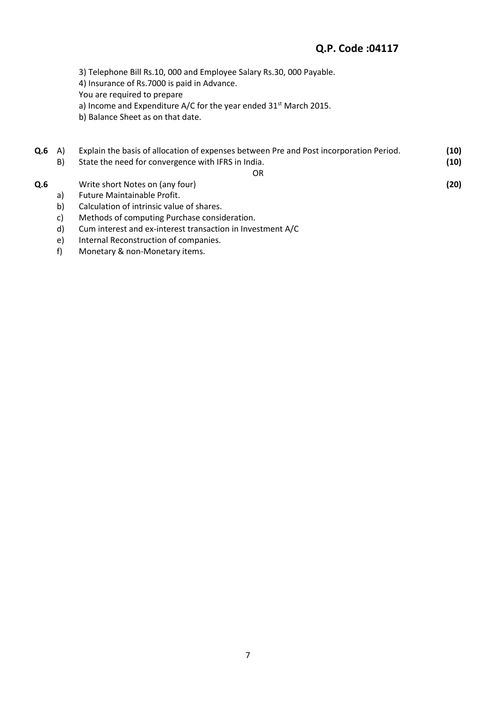# **Q.P. Code :04117**

3) Telephone Bill Rs.10, 000 and Employee Salary Rs.30, 000 Payable.

4) Insurance of Rs.7000 is paid in Advance.

You are required to prepare

a) Income and Expenditure A/C for the year ended 31<sup>st</sup> March 2015.

b) Balance Sheet as on that date.

| Q.6 | A<br>B) | Explain the basis of allocation of expenses between Pre and Post incorporation Period.<br>State the need for convergence with IFRS in India. | (10)<br>(10) |
|-----|---------|----------------------------------------------------------------------------------------------------------------------------------------------|--------------|
|     |         | OR                                                                                                                                           |              |
| Q.6 |         | Write short Notes on (any four)                                                                                                              | (20)         |
|     | a)      | Future Maintainable Profit.                                                                                                                  |              |
|     | b)      | Calculation of intrinsic value of shares.                                                                                                    |              |
|     | C)      | Methods of computing Purchase consideration.                                                                                                 |              |
|     | d۱.     | Cum interact and ex-interact transaction in Investment $\Lambda/C$                                                                           |              |

- d) Cum interest and ex-interest transaction in Investment A/C
- e) Internal Reconstruction of companies.
- f) Monetary & non-Monetary items.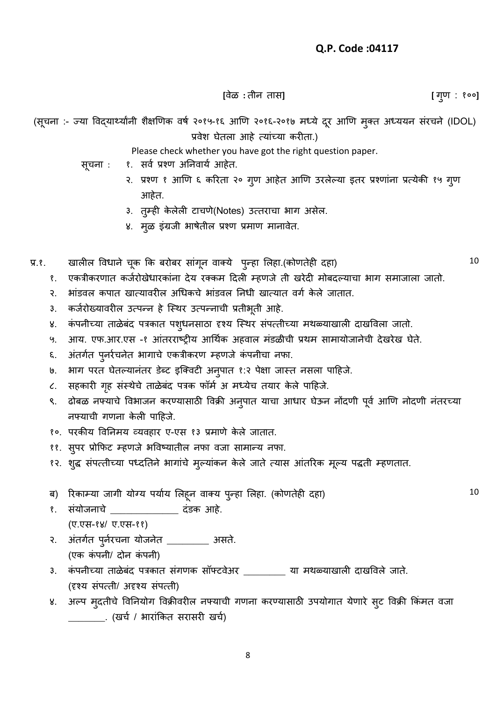**[**वȯळ **:** तीन तास**] [** गण : १०० ु **]**

(सूचना :- ज्या विद्यार्थ्यांनी शैक्षणिक वर्ष २०१५-१६ आणि २०१६-२०१७ मध्ये दूर आणि मुक्त अध्ययन संरचने (IDOL) प्रवेश घेतला आहे त्यांच्या करीता.)

Please check whether you have got the right question paper.

- सूचना : १. सर्व प्रश्ण अनिवार्य आहेत.
	- २. प्रश्ण १ आणि ६ करिता २० गुण आहेत आणि उरलेल्या इतर प्रश्णांना प्रत्येकी १५ गुण आहेत.
	- ३. तुम्ही केलेली टाचणे(Notes) उत्तराचा भाग असेल.
	- ४. मूळ इंग्रजी भाषेतील प्रश्ण प्रमाण मानावेत.
- प्र.१. खालील विधाने चूक कि बरोबर सांगून वाक्ये पुन्हा लिहा.(कोणतेही दहा)
	- १. एकत्रीकरणात कर्जरोखेधारकांना देय रक्कम दिली म्हणजे ती खरेदी मोबदल्याचा भाग समाजाला जातो.
	- २. भांडवल कपात खात्यावरील अधिकचे भांडवल निधी खात्यात वर्ग केले जातात.
	- ३. कर्जरोख्यावरील उत्पन्न हे स्थिर उत्पन्नाची प्रतीभूती आहे.
	- ४. कंपनीच्या ताळेबंद पत्रकात पशुधनसाठा दृश्य स्थिर संपत्तीच्या मथळ्याखाली दाखविला जातो.
	- ५. आय. एफ.आर.एस -१ आंतरराष्ट्रीय आर्थिक अहवाल मंडळीची प्रथम सामायोजानेची देखरेख घेते.
	- ६. अंतर्गत पुनर्रचनेत भागाचे एकत्रीकरण म्हणजे कंपनीचा नफा.
	- ७. भाग परत घेतल्यानंतर डेब्ट इक्विटी अनुपात १:२ पेक्षा जास्त नसला पाहिजे.
	- ८. सहकारी गृह संस्थैचे ताळेबंद पत्रक फॉर्म अ मध्येच तयार केले पाहिजे.
	- ९. ढोबळ नफ्याचे विभाजन करण्यासाठी विक्री अनुपात याचा आधार घेऊन नोंदणी पूर्व आणि नोदणी नंतरच्या नफ्याची गणना केली पाहिजे.
	- १०. परकीय विनिमय व्यवहार ए-एस १३ प्रमाणे केले जातात.
	- ११. सुपर प्रोफिट म्हणजे भविष्यातील नफा वजा सामान्य नफा.
	- १२. शुद्ध संपत्तीच्या पध्दतिने भागांचे मुल्यांकन केले जाते त्यास आंतरिक मूल्य पद्धती म्हणतात.
	- ब) रिकाम्या जागी योग्य पर्याय लिहून वाक्य पुन्हा लिहा. (कोणतेही दहा)
	- १. संयोजनाचे \_\_\_\_\_\_\_\_\_\_\_\_\_\_\_\_ दंडक आहे. (ए.एस-१४/ ए.एस-११)
	- २. अंतर्गत पुर्नरचना योजनेत \_\_\_\_\_\_\_\_ असते. (एक कंपनी/ दोन कंपनी)
	- ३. कंपनीच्या ताळेबंद पत्रकात संगणक सॉफ्टवेअर \_\_\_\_\_\_\_\_\_ या मथळ्याखाली दाखविले जाते. (दृश्य सȲपतती/ अदृश्य सȲपतती)
	- ४. अल्प मुदतीचे विनियोग विक्रीवरील नफ्याची गणना करण्यासाठी उपयोगात येणारे सुट विक्री किंमत वजा \_\_\_\_\_\_\_. (खचष / भाराȲककत सरासरी खचष)

10

10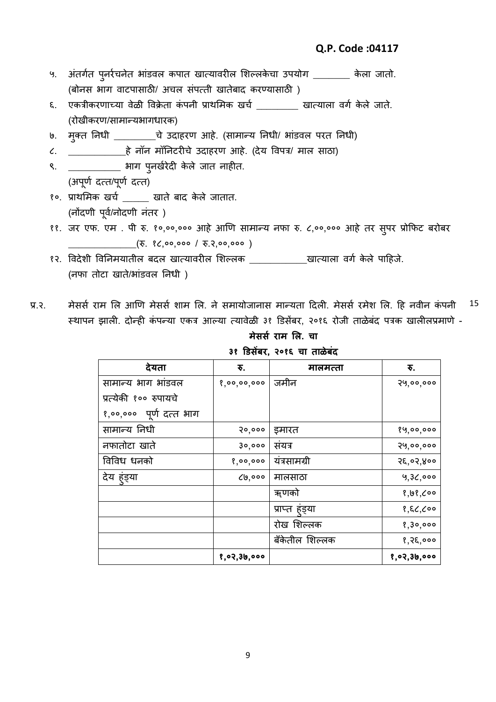- ५. अंतर्गत पुनर्रचनेत भांडवल कपात खात्यावरील शिल्लकेचा उपयोग \_\_\_\_\_\_\_ केला जातो. (बोनस भाग वाटपासाठी/ अचल संपत्ती खातेबाद करण्यासाठी)
- ६. एकत्रीकरणाच्या वेळी विक्रेता कंपनी प्राथमिक खर्च ता खात्याला वर्ग केले जाते. (रोखीकरण/सामान्यभागधारक)
- ७. मुक्त निधी \_\_\_\_\_\_\_\_\_चे उदाहरण आहे. (सामान्य निधी/ भांडवल परत निधी)

८. \_\_\_\_\_\_\_\_\_\_\_हȯ नॉन मॉननटरीचȯ उदाहरण आहȯ. (दȯय ववपत्र/ माल साठा)

- ९. \_\_\_\_\_\_\_\_\_\_\_ भाग पुनर्खरेदी केले जात नाहीत. (अपूर्ण दत्त/पूर्ण दत्त)
- १०. प्रारलमक खचष \_\_\_\_\_ खातȯ बाद कȯ लȯ जातात. (नोंदणी पूर्व/नोदणी नंतर)
- ११. जर एफ. एम . पी रु. १०,००,००० आहे आणि सामान्य नफा रु. ८,००,००० आहे तर सुपर प्रोफिट बरोबर (रु. १८,००,००० / रु.२,००,००० )
- १२. विदेशी विनिमयातील बदल खात्यावरील शिल्लक \_\_\_\_\_\_\_\_\_\_\_\_\_खात्याला वर्ग केले पाहिजे. (नफा तोटा खाते/भांडवल निधी)
- प्र.२. मेसर्स राम लि आणि मेसर्स शाम लि. ने समायोजानास मान्यता दिली. मेसर्स रमेश लि. हि नवीन कंपनी स्थापन झाली. दोन्ही कंपन्या एकत्र आल्या त्यावेळी ३१ डिसेंबर, २०१६ रोजी ताळेबंद पत्रक खालीलप्रमाणे -15

**मेससस राम लि. चा ३१ डिसेंबर, २०१६ चा ताळेबंद**

| देयता                      | ₹.          | मालमत्ता       | ₹.          |
|----------------------------|-------------|----------------|-------------|
| सामान्य भाग भांडवल         | 8,00,00,000 | जमीन           | २५,००,०००   |
| प्रत्येकी १०० रुपायचे      |             |                |             |
| पूर्ण दत्त भाग<br>8,00,000 |             |                |             |
| सामान्य निधी               | 30,000      | इमारत          | १५,००,०००   |
| नफातोटा खाते               | 30,000      | संयत्र         | २५,००,०००   |
| विविध धनको                 | 8,00,000    | यंत्रसामग्री   | २६,०२,४००   |
| देय हुंड्या                | 6,000       | मालसाठा        | 9,36,000    |
|                            |             | ॠणको           | 8,98,000    |
|                            |             | प्राप्त हड्या  | 8,86,000    |
|                            |             | रोख शिल्लक     | 8,30,000    |
|                            |             | बँकेतील शिल्लक | 8,85,000    |
|                            | १,०२,३७,००० |                | १,०२,३७,००० |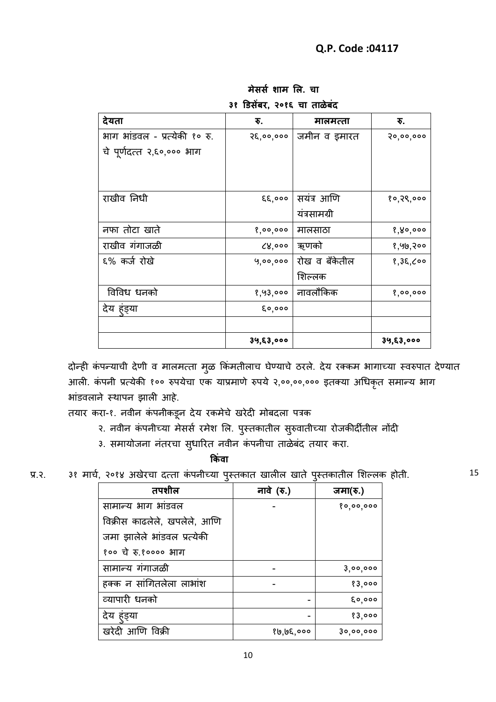| देयता                         | ₹.             | मालमत्ता      | ₹.        |
|-------------------------------|----------------|---------------|-----------|
| भाग भांडवल - प्रत्येकी १० रु. | २६,००,०००      | जमीन व इमारत  | २०,००,००० |
| चे पूर्णदत्त २,६०,००० भाग     |                |               |           |
|                               |                |               |           |
|                               |                |               |           |
| राखीव निधी                    | $\xi \xi$ ,000 | सयंत्र आणि    | १०,२९,००० |
|                               |                | यंत्रसामग्री  |           |
| नफा तोटा खाते                 | 8,00,000       | मालसाठा       | 8,80,000  |
| राखीव गंगाजळी                 | 8,000          | ऋणको          | १,५७,२००  |
| ६% कर्ज रोखे                  | 9,00,000       | रोख व बँकेतील | १,३६,८००  |
|                               |                | शिल्लक        |           |
| विविध धनको                    | १,५३,०००       | नावलौकिक      | 8,00,000  |
| देय हंड्या                    | 60,000         |               |           |
|                               |                |               |           |
|                               | ३५,६३,०००      |               | ३५,६३,००० |

**मेससस शाम लि. चा ३१ डिसेंबर, २०१६ चा ताळेबंद**

दोन्ही कंपन्याची देणी व मालमत्ता मुळ किंमतीलाच घेण्याचे ठरले. देय रक्कम भागाच्या स्वरुपात देण्यात आली. कंपनी प्रत्येकी १०० रुपयेचा एक याप्रमाणे रुपये २,००,००,००० इतक्या अधिकृत समान्य भाग भांडवलाने स्थापन झाली आहे.

तयार करा-१. नवीन कंपनीकडून देय रकमेचे खरेदी मोबदला पत्रक

२. नवीन कंपनीच्या मेसर्स रमेश लि. पुस्तकातील सुरुवातीच्या रोजकीर्दीतील नोंदी

३. समायोजना नंतरचा सुधारित नवीन कंपनीचा ताळेबंद तयार करा.

 **क ंवा** 

| प्र.२. |  |  |  |  |  |  |  |  | ३१ मार्च, २०१४ अखेरचा दत्ता कंपनीच्या पुस्तकात खालील खाते पुस्तकातील शिल्लक होती. |  |  |  |
|--------|--|--|--|--|--|--|--|--|-----------------------------------------------------------------------------------|--|--|--|
|--------|--|--|--|--|--|--|--|--|-----------------------------------------------------------------------------------|--|--|--|

| तपशील                        | नावे (रु.) | जमा(रु.)  |
|------------------------------|------------|-----------|
| सामान्य भाग भांडवल           |            | 80,00,000 |
| विक्रीस काढलेले, खपलेले, आणि |            |           |
| जमा झालेले भांडवल प्रत्येकी  |            |           |
| १०० चे रु.१०००० भाग          |            |           |
| सामान्य गंगाजळी              |            | 3,00,000  |
| हक्क न सांगितलेला लाभांश     |            | 83,000    |
| व्यापारी धनको                |            | 60,000    |
| देय हुंड्या                  |            | 83,000    |
| खरेदी आणि विक्री             | १७,७६,०००  | ३०,००,००० |

15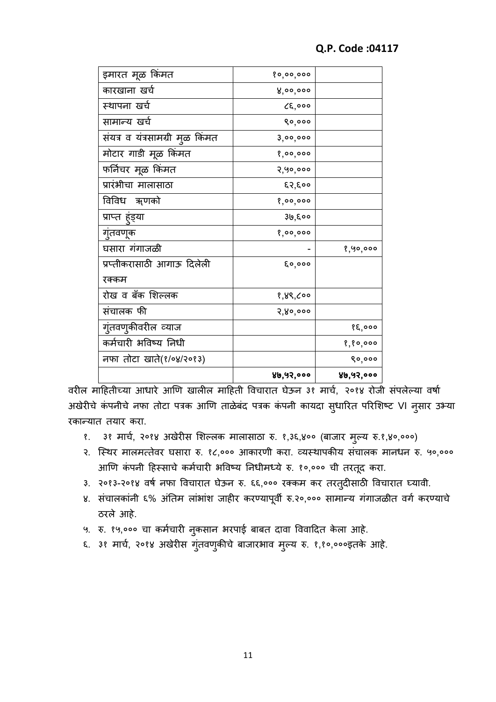| इमारत मूळ किंमत                 | 80,00,000 |           |
|---------------------------------|-----------|-----------|
| कारखाना खर्च                    | 8,00,000  |           |
| स्थापना खर्च                    | CE,000    |           |
| सामान्य खर्च                    | 80,000    |           |
| संयत्र व यंत्रसामग्री मुळ किंमत | 3,00,000  |           |
| मोटार गाडी मूळ किंमत            | 8,00,000  |           |
| फर्निचर मूळ किंमत               | २,५०,०००  |           |
| प्रारंभीचा मालासाठा             | ६२,६००    |           |
| विविध ॠणको                      | 8,00,000  |           |
| प्राप्त हुंड्या                 | ३७,६००    |           |
| गुंतवणूक                        | 8,00,000  |           |
| घसारा गंगाजळी                   |           | 8,90,000  |
| प्रप्तीकरासाठी आगाऊ दिलेली      | 6,000     |           |
| रक्कम                           |           |           |
| रोख व बँक शिल्लक                | १,४९,८००  |           |
| संचालक फी                       | २,४०,०००  |           |
| गुंतवणुकीवरील व्याज             |           | १६,०००    |
| कर्मचारी भविष्य निधी            |           | 8,80,000  |
| नफा तोटा खाते(१/०४/२०१३)        |           | ९०,०००    |
|                                 | ४७,५२,००० | ४७,५२,००० |

वरील माहितीच्या आधारे आणि खालील माहिती विचारात घेऊन ३१ मार्च, २०१४ रोजी संपलेल्या वर्षा अखेरीचे कंपनीचे नफा तोटा पत्रक आणि ताळेबंद पत्रक कंपनी कायदा स्धारित परिशिष्ट VI न्सार उभ्या रकान्यात तयार करा.

- १. ३१ मार्च, २०१४ अखेरीस शिल्लक मालासाठा रु. १,३६,४०० (बाजार मुल्य रु.१,४०,०००)
- २. स्थिर मालमत्तेवर घसारा रु. १८,००० आकारणी करा. व्यस्थापकीय संचालक मानधन रु. ५०,००० आणि कंपनी हिस्साचे कर्मचारी भविष्य निधीमध्ये रु. १०,००० ची तरतूद करा.
- ३. २०१३-२०१४ वर्ष नफा विचारात घेऊन रु. ६६,००० रक्कम कर तरतुदीसाठी विचारात घ्यावी.
- ४. संचालकांनी ६% अंतिम लांभांश जाहीर करण्यापूर्वी रु.२०,००० सामान्य गंगाजळीत वर्ग करण्याचे ठरले आहे.
- ५. रु. १५,००० चा कर्मचारी नुकसान भरपाई बाबत दावा विवादित केला आहे.
- ६. ३१ मार्च, २०१४ अखेरीस गुंतवणुकीचे बाजारभाव मुल्य रु. १,१०,०००इतके आहे.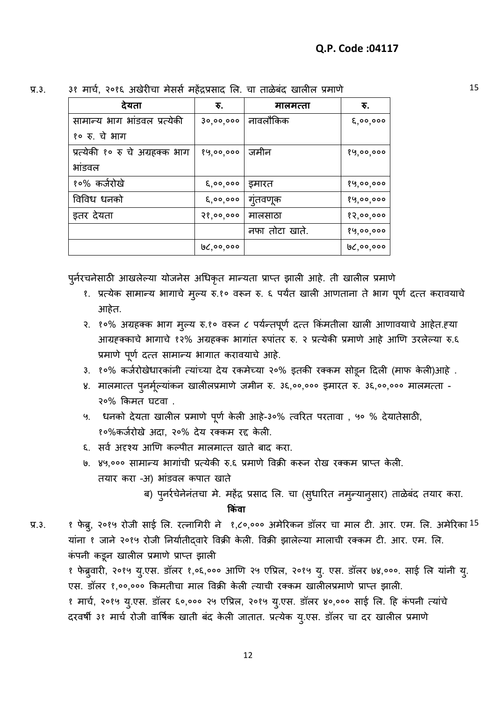| देयता                           | रु.           | मालमत्ता       | रु.           |
|---------------------------------|---------------|----------------|---------------|
| सामान्य भाग भांडवल प्रत्येकी    | 30,00,000     | नावलौकिक       | $\xi, oo, oo$ |
| १० रु. चे भाग                   |               |                |               |
| प्रत्येकी १० रु चे अग्रहक्क भाग | 89,00,000     | जमीन           | १५,००,०००     |
| भांडवल                          |               |                |               |
| १०% कर्जरोखे                    | $\xi, oo, oo$ | इमारत          | १५,००,०००     |
| विविध धनको                      | 6,00,000      | गुंतवणूक       | १५,००,०००     |
| इतर देयता                       | 38,00,000     | मालसाठा        | १२,००,०००     |
|                                 |               | नफा तोटा खाते. | 89,00,000     |
|                                 | ७८,००,०००     |                | ७८,००,०००     |

प्र.३. ३१ मार्च, २०१६ अखेरीचा मेसर्स महेंद्रप्रसाद लि. चा ताळेबंद खालील प्रमाणे 15

पूर्नरचनेसाठी आखलेल्या योजनेस अधिकृत मान्यता प्राप्त झाली आहे. ती खालील प्रमाणे

- १. प्रत्येक सामान्य भागाचे मुल्य रु.१० वरून रु. ६ पर्यंत खाली आणताना ते भाग पूर्ण दत्त करावयाचे आहेत.
- २. १०% अग्रहक्क भाग मूल्य रु.१० वरून ८ पर्यन्तपूर्ण दत्त किंमतीला खाली आणावयाचे आहेत.ह्या आग्रहक्काचे भागाचे १२% अग्रहक्क भागांत रुपांतर रु. २ प्रत्येकी प्रमाणे आहे आणि उरलेल्या रु.६ प्रमाणे पूर्ण दत्त सामान्य भागात करावयाचे आहे.
- ३. १०% कर्जरोखेधारकांनी त्यांच्या देय रकमेच्या २०% इतकी रक्कम सोडून दिली (माफ केली)आहे .
- ४. मालमात्त पुनर्मूल्यांकन खालीलप्रमाणे जमीन रु. ३६,००,००० इमारत रु. ३६,००,००० मालमत्ता -२०% ककमत घटवा .
- ५. धनको देयता खालील प्रमाणे पूर्ण केली आहे-३०% त्वरित परतावा , ५० % देयातेसाठी, १०%कर्जरोखे अदा, २०% देय रक्कम रद्द केली.
- ६. सर्व अदृश्य आणि कल्पीत मालमात्त खाते बाद करा.
- ७. ४५,००० सामान्य भागांची प्रत्येकी रु.६ प्रमाणे विक्री करून रोख रक्कम प्राप्त केली. तयार करा -अ) भांडवल कपात खाते
	- ब) पुनर्रचेनेनंतचा मे. महेंद्र प्रसाद लि. चा (सुधारित नमुन्यानुसार) ताळेबंद तयार करा.

<u> क्रिकेट प्रकाश कर प्रकाश कर</u> जिला

प्र.३. १ फेब्रु, २०१५ रोजी साई लि. रत्नागिरी ने १,८०,००० अमेरिकन डॉलर चा माल टी. आर. एम. लि. अमेरिका  $^{15}$ यांना १ जाने २०१५ रोजी निर्यातीदवारे विक्री केली. विक्री झालेल्या मालाची रक्कम टी. आर. एम. लि. कंपनी कडून खालील प्रमाणे प्राप्त झाली १ फेब्रुवारी, २०१५ यु.एस. डॉलर १,०६,००० आणि २५ एप्रिल, २०१५ यु. एस. डॉलर ७४,०००. साई लि यांनी यु. एस. डॉलर १,००,००० किमतीचा माल विक्री केली त्याची रक्कम खालीलप्रमाणे प्राप्त झाली. १ मार्च, २०१५ यु.एस. डॉलर ६०,००० २५ एप्रिल, २०१५ यु.एस. डॉलर ४०,००० साई लि. हि कंपनी त्यांचे दरवर्षी ३१ मार्च रोजी वार्षिक खाती बंद केली जातात. प्रत्येक यु.एस. डॉलर चा दर खालील प्रमाणे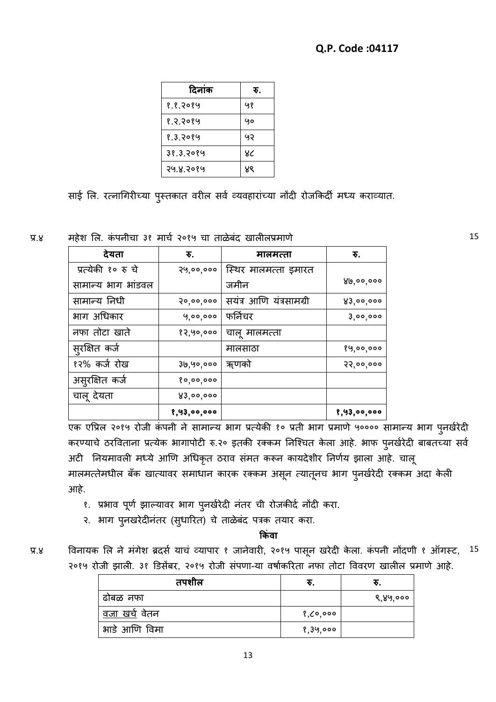| दिनांक    | रु. |
|-----------|-----|
| १.१.२०१५  | ५१  |
| १.२.२०१५  | yo  |
| १.३.२०१५  | ౸౸  |
| 38.3.2084 | ४८  |
| २५.४.२०१५ | ४९  |

साई लि. रत्नागिरीच्या पुस्तकात वरील सर्व व्यवहारांच्या नोंदी रोजकिर्दी मध्य कराव्यात.

प्र.४ महȯश लल. कȲ पनीचा ३१ माचष २०१५ चा ताळȯबȲद खालीलप्रमाणȯ 15

| देयता              | ₹.          | मालमत्ता                | ₹.          |
|--------------------|-------------|-------------------------|-------------|
| प्रत्येकी १० रु चे | २५,००,०००   | स्थिर मालमत्ता इमारत    |             |
| सामान्य भाग भांडवल |             | जमीन                    | 86,00,000   |
| सामान्य निधी       | 30,00,000   | सयंत्र आणि यंत्रसामग्री | 83,00,000   |
| भाग अधिकार         | 9,00,000    | फर्निचर                 | 3,00,000    |
| नफा तोटा खाते      | १२,५०,०००   | चालू मालमत्ता           |             |
| सुरक्षित कर्ज      |             | मालसाठा                 | १५,००,०००   |
| १२% कर्ज रोख       | ३७,५०,०००   | ॠणको                    | २२,००,०००   |
| असुरक्षित कर्ज     | 80,00,000   |                         |             |
| चालू देयता         | 83,00,000   |                         |             |
|                    | 8,93,00,000 |                         | 8,93,00,000 |

एक एप्रिल २०१५ रोजी कंपनी ने सामान्य भाग प्रत्येकी १० प्रती भाग प्रमाणे ५०००० सामान्य भाग पुनर्खरेदी करण्याचे ठरविताना प्रत्येक भागापोटी रु.२० इतकी रक्कम निश्चित केला आहे. भाफ प्**नर्खरेदी बाबतच्या सर्व** अटी नियमावली मध्ये आणि अधिकृत ठराव संमत करून कायदेशीर निर्णय झाला आहे. चालू मालमत्तेमधील बँक खात्यावर समाधान कारक रक्कम असून त्यातूनच भाग पुनर्खरेदी रक्कम अदा केली आहे.

- १. प्रभाव पूर्ण झाल्यावर भाग पुनर्खरेदी नंतर ची रोजकीर्द नोंदी करा.
- २. भाग पुनखरेदीनंतर (सुधारित) चे ताळेबंद पत्रक तयार करा.

**क ंवा**

| प्र.४ | विनायक लि ने मंगेश ब्रदर्स याचं व्यापार १ जानेवारी, २०१५ पासून खरेदी केला. कंपनी नोंदणी १ ऑगस्ट, <sup>15</sup> |  |
|-------|----------------------------------------------------------------------------------------------------------------|--|
|       | २०१५ रोजी झाली. ३१ डिसेंबर, २०१५ रोजी संपणा-या वर्षाकरिता नफा तोटा विवरण खालील प्रमाणे आहे.                    |  |

| तपशील                |          | R.       |
|----------------------|----------|----------|
| ढोबळ नफा             |          | ९,४५,००० |
| <u>वजा खर्च</u> वेतन | १,८०,००० |          |
| भाडे आणि विमा        | १,३५,००० |          |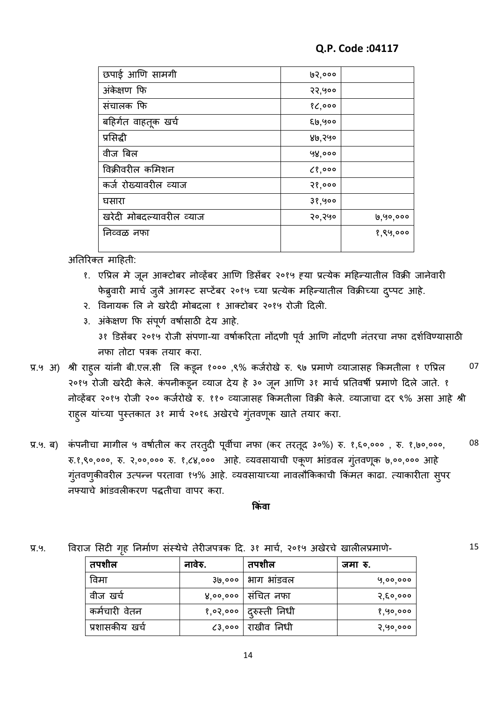| छपाई आणि सामगी           | 95,000    |          |
|--------------------------|-----------|----------|
| अंकेक्षण फि              | २२,५००    |          |
| संचालक फि                | 80,000    |          |
| बहिर्गत वाहतूक खर्च      | ६७,५००    |          |
| प्रसिद्धी                | ४७,२५०    |          |
| वीज बिल                  | 98,000    |          |
| विक्रीवरील कमिशन         | $C_3,000$ |          |
| कर्ज रोख्यावरील व्याज    | 38,000    |          |
| घसारा                    | 38,900    |          |
| खरेदी मोबदल्यावरील व्याज | २०,२५०    | 6,90,000 |
| निव्वळ नफा               |           | १,९५,००० |
|                          |           |          |

अतिरिक्त माहिती:

- १. एप्रिल मे जून आक्टोबर नोव्हेंबर आणि डिसेंबर २०१५ ह्या प्रत्येक महिन्यातील विक्री जानेवारी फेब्र्वारी मार्च जुलै आगस्ट सप्टेंबर २०१५ च्या प्रत्येक महिन्यातील विक्रीच्या दुप्पट आहे.
- २. विनायक लि ने खरेदी मोबदला १ आक्टोबर २०१५ रोजी दिली.
- ३. अंकेक्षण फि संपूर्ण वर्षासाठी देय आहे. ३१ डिसेंबर २०१५ रोजी संपणा-या वर्षाकरिता नोंदणी पूर्व आणि नोंदणी नंतरचा नफा दर्शविण्यासाठी नफा तोटा पत्रक तयार करा.
- प्र.५ अ) श्री राहुल यांनी बी.एल.सी लि कडून १००० ,९% कर्जरोखे रु. ९७ प्रमाणे व्याजासह किमतीला १ एप्रिल २०१५ रोजी खरेदी केले. कंपनीकडून व्याज देय हे ३० जून आणि ३१ मार्च प्रतिवर्षी प्रमाणे दिले जाते. १ नोव्हेंबर २०१५ रोजी २०० कर्जरोखे रु. ११० व्याजासह किमतीला विक्री केले. व्याजाचा दर ९% असा आहे श्री राहल यांच्या पुस्तकात ३१ मार्च २०१६ अखेरचे गुंतवणूक खाते तयार करा. 07
- प्र.५. ब) कंपनीचा मागील ५ वर्षातील कर तरत् $d$  पूर्वीचा नफा (कर तरतूद ३०%) रु. १,६०,००० , रु. १,७०,०००, रु.१,९०,०००, रु. २,००,००० रु. १,८४,००० आहे. व्यवसायाची एकूण भांडवल गुंतवणूक ७,००,००० आहे गुंतवणुकीवरील उत्पन्न परतावा १५% आहे. व्यवसायाच्या नावलौकिकाची किंमत काढा. त्याकारीता सुपर नफ्याचे भांडवलीकरण पद्धतीचा वापर करा. 08

## ्रकार को प्रकाश कर राज्य कर राज्य कर राज्य कर राज्य कर राज्य कर राज्य कर राज्य कर राज्य कर राज्य क<br>सन्दर्भ कर राज्य कर राज्य कर राज्य कर राज्य कर राज्य कर राज्य कर राज्य कर राज्य कर राज्य कर राज्य कर राज्य कर र

प्र.५. विराज सिटी गृह निर्माण संस्थैचे तेरीजपत्रक दि. ३१ मार्च, २०१५ अखेरचे खालीलप्रमाणे- 15

| तपशील          | नावेरु. | तपशील                    | जमा रु.  |
|----------------|---------|--------------------------|----------|
| विमा           |         | ३७,०००   भाग भांडवल      | 9,00,000 |
| वीज खर्च       |         | ४,००,००० संचित नफा       | २,६०,००० |
| कर्मचारी वेतन  |         | १,०२,०००   दुरुस्ती निधी | १,५०,००० |
| प्रशासकीय खर्च | 63,000  | राखीव निधी               | २,५०,००० |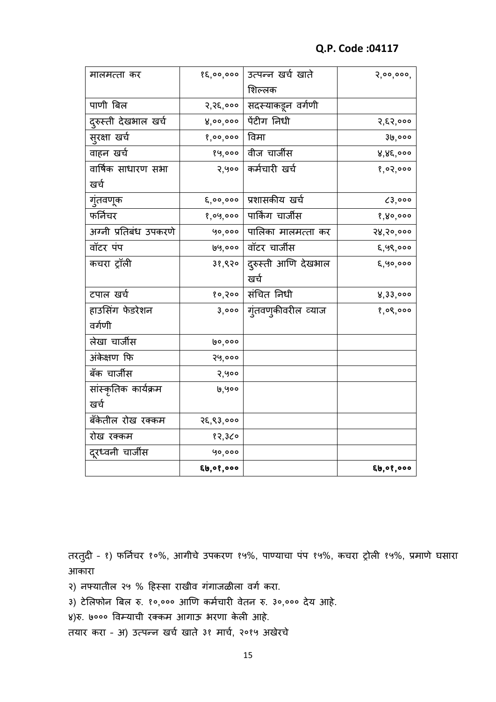| मालमत्ता कर           | 85,00,000              | उत्पन्न खर्च खाते       | 2,00,000, |
|-----------------------|------------------------|-------------------------|-----------|
|                       |                        | शिल्लक                  |           |
| पाणी बिल              | २,२६,०००               | सदस्याकडून वर्गणी       |           |
| दुरुस्ती देखभाल खर्च  | 8,00,000               | पेंटीग निधी             | २,६२,०००  |
| सुरक्षा खर्च          | 8,00,000               | विमा                    | ३७,०००    |
| वाहन खर्च             | 89,000                 | वीज चार्जीस             | ४,४६,०००  |
| वार्षिक साधारण सभा    | २,५००                  | कर्मचारी खर्च           | 8,02,000  |
| खर्च                  |                        |                         |           |
| गुंतवणूक              |                        | ६,००,००० प्रशासकीय खर्च | 0,000     |
| फर्निचर               | १,०५,०००               | पार्किंग चार्जीस        | 8,80,000  |
| अग्नी प्रतिबंध उपकरणे | 90,000                 | पालिका मालमत्ता कर      | २४,२०,००० |
| वॉटर पंप              | 99,000                 | वॉटर चार्जीस            | ६,५९,०००  |
| कचरा ट्रॉली           | ३१,९२०                 | दुरुस्ती आणि देखभाल     | 8,90,000  |
|                       |                        | खर्च                    |           |
| टपाल खर्च             |                        | १०,२०० संचित निधी       | 8,33,000  |
| हाउसिंग फेडरेशन       | 3,000                  | गुंतवण्कीवरील व्याज     | 8,08,000  |
| वर्गणी                |                        |                         |           |
| लेखा चार्जीस          | ७०,०००                 |                         |           |
| अंकेक्षण फि           | २५,०००                 |                         |           |
| बँक चार्जीस           | २,५००                  |                         |           |
| सांस्कृतिक कार्यक्रम  | ७,५००                  |                         |           |
| खर्च                  |                        |                         |           |
| बँकेतील रोख रक्कम     | २६,९३,०००              |                         |           |
| रोख रक्कम             | १२,३८०                 |                         |           |
| दूरध्वनी चार्जीस      | 90,000                 |                         |           |
|                       | $\xi$ b, o $\xi$ , ooo |                         | 6,00,000  |

तरतुदी - १) फर्निचर १०%, आगीचे उपकरण १५%, पाण्याचा पंप १५%, कचरा ट्रोली १५%, प्रमाणे घसारा आकारा

- २) नफ्यातील २५ % हिस्सा राखीव गंगाजळीला वर्ग करा.
- ३) टेलिफोन बिल रु. १०,००० आणि कर्मचारी वेतन रु. ३०,००० देय आहे.

४)रु. ७००० विम्याची रक्कम आगाऊ भरणा केली आहे.

तयार करा - अ) उत्पन्न खर्च खाते ३१ मार्च, २०१५ अखेरचे